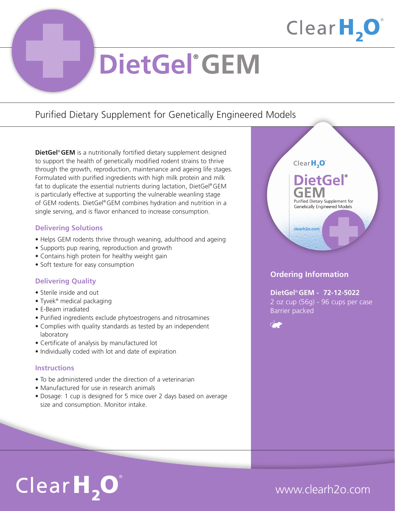

# **DietGel**® **GEM**

### Purified Dietary Supplement for Genetically Engineered Models

**DietGel**® **GEM** is a nutritionally fortified dietary supplement designed to support the health of genetically modified rodent strains to thrive through the growth, reproduction, maintenance and ageing life stages. Formulated with purified ingredients with high milk protein and milk fat to duplicate the essential nutrients during lactation, DietGel® GEM is particularly effective at supporting the vulnerable weanling stage of GEM rodents. DietGel® GEM combines hydration and nutrition in a single serving, and is flavor enhanced to increase consumption.

### **Delivering Solutions**

- Helps GEM rodents thrive through weaning, adulthood and ageing
- Supports pup rearing, reproduction and growth
- Contains high protein for healthy weight gain
- Soft texture for easy consumption

### **Delivering Quality**

- Sterile inside and out
- Tyvek® medical packaging
- E-Beam irradiated
- Purified ingredients exclude phytoestrogens and nitrosamines
- Complies with quality standards as tested by an independent laboratory
- Certificate of analysis by manufactured lot
- Individually coded with lot and date of expiration

#### **Instructions**

- To be administered under the direction of a veterinarian
- Manufactured for use in research animals
- Dosage: 1 cup is designed for 5 mice over 2 days based on average size and consumption. Monitor intake.



### **Ordering Information**

**DietGel**® **GEM - 72-12-5022** 2 oz cup (56g) - 96 cups per case Barrier packed



# $ClearH, O^*$

## www.clearh2o.com